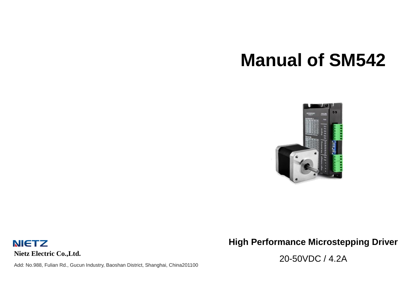# **Manual of SM542**



**NIETZ Nietz Electric Co.,Ltd.**

Add: No.988, Fulian Rd., Gucun Industry, Baoshan District, Shanghai, China201100

**High Performance Microstepping Driver**

20-50VDC / 4.2A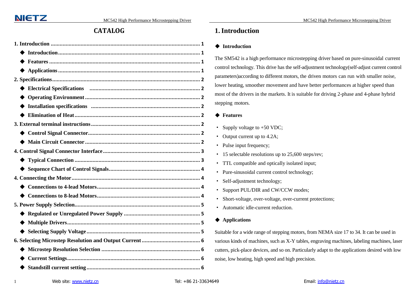# **CATALOG**

| ◆ |
|---|
|   |
|   |
|   |
|   |
|   |
|   |
|   |
|   |
|   |
|   |
|   |
|   |

# <span id="page-1-0"></span>**1.Introduction**

# <span id="page-1-1"></span>◆ **Introduction**

The SM542 is a high performance microstepping driver based on pure-sinusoidal current control technology. This drive has the self-adjustment technology(self-adjust current control parameters)according to different motors, the driven motors can run with smaller noise, lower heating, smoother movement and have better performances at higher speed than most of the drivers in the markets. It is suitable for driving 2-phase and 4-phase hybrid stepping motors.

# <span id="page-1-2"></span>◆ **Features**

- Supply voltage to +50 VDC;
- · Output current up to 4.2A;
- · Pulse input frequency;
- 15 selectable resolutions up to 25,600 steps/rev;
- · TTL compatible and optically isolated input;
- · Pure-sinusoidal current control technology;
- · Self-adjustment technology;
- · Support PUL/DIR and CW/CCW modes;
- · Short-voltage, over-voltage, over-current protections;
- · Automatic idle-current reduction.

# <span id="page-1-3"></span>◆ **Applications**

Suitable for a wide range of stepping motors, from NEMA size 17 to 34. It can be used in various kinds of machines, such as X-Y tables, engraving machines, labeling machines, laser cutters, pick-place devices, and so on. Particularly adapt to the applications desired with low noise, low heating, high speed and high precision.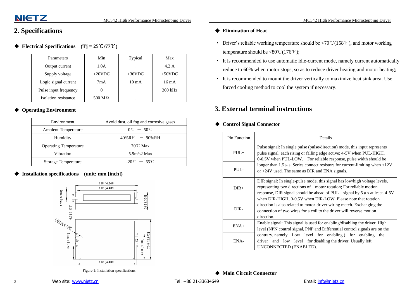# <span id="page-2-0"></span>**2. Specifications**

# <span id="page-2-1"></span>◆ **Electrical Specifications (Tj = 25**℃**/77**℉**)**

| Parameters            | Min            | Typical         | Max       |
|-----------------------|----------------|-----------------|-----------|
| Output current        | 1.0A           |                 | 4.2 A     |
| Supply voltage        | $+20$ VDC      | $+36VDC$        | $+50$ VDC |
| Logic signal current  | 7mA            | $10 \text{ mA}$ | 16 mA     |
| Pulse input frequency |                |                 | 300 kHz   |
| Isolation resistance  | 500 M $\Omega$ |                 |           |

# <span id="page-2-2"></span>**Operating Environment**

| Environment                  | Avoid dust, oil fog and corrosive gases |
|------------------------------|-----------------------------------------|
| <b>Ambient Temperature</b>   | $0^{\circ}$ C $-50^{\circ}$ C           |
| Humidity                     | $40\%RH$ - 90%RH                        |
| <b>Operating Temperature</b> | $70^{\circ}$ C Max                      |
| Vibration                    | 5.9 <sub>m</sub> /s2 <sub>M</sub> ax    |
| <b>Storage Temperature</b>   | $-20^{\circ}$ C $-65^{\circ}$ C         |

<span id="page-2-3"></span>**Installation specifications** (unit: mm [inch])



Figure 1: Installation specifications

# <span id="page-2-4"></span>◆ **Elimination of Heat**

- Driver's reliable working temperature should be  $\leq 70^{\circ}$  C(158°F), and motor working temperature should be  $<80^{\circ}\text{C}(176^{\circ}\text{F})$ ;
- · It is recommended to use automatic idle-current mode, namely current automatically reduce to 60% when motor stops, so as to reduce driver heating and motor heating;
- · It is recommended to mount the driver vertically to maximize heat sink area. Use forced cooling method to cool the system if necessary.

# <span id="page-2-5"></span>**3. External terminal instructions**

#### <span id="page-2-6"></span>◆ **Control Signal Connector**

| Pin Function | Details                                                                                                                                                                                                                            |  |  |  |
|--------------|------------------------------------------------------------------------------------------------------------------------------------------------------------------------------------------------------------------------------------|--|--|--|
| $PUI +$      | Pulse signal: In single pulse (pulse/direction) mode, this input represents<br>pulse signal, each rising or falling edge active; 4-5V when PUL-HIGH,<br>0-0.5V when PUL-LOW. For reliable response, pulse width should be          |  |  |  |
| $PUI -$      | longer than 1.5 $\mu$ s. Series connect resistors for current-limiting when +12V<br>or $+24V$ used. The same as DIR and ENA signals.                                                                                               |  |  |  |
| $DIR+$       | DIR signal: In single-pulse mode, this signal has low/high voltage levels,<br>representing two directions of motor rotation; For reliable motion<br>response, DIR signal should be ahead of PUL signal by $5 \mu s$ at least. 4-5V |  |  |  |
| DIR-         | when DIR-HIGH, 0-0.5V when DIR-LOW. Please note that rotation<br>direction is also related to motor-driver wiring match. Exchanging the<br>connection of two wires for a coil to the driver will reverse motion<br>direction.      |  |  |  |
| $ENA+$       | Enable signal: This signal is used for enabling/disabling the driver. High<br>level (NPN control signal, PNP and Differential control signals are on the                                                                           |  |  |  |
| ENA-         | contrary, namely Low level for enabling.) for enabling the<br>driver and low level for disabling the driver. Usually left<br>UNCONNECTED (ENABLED).                                                                                |  |  |  |

<span id="page-2-7"></span>◆ **Main Circuit Connector**

3 Web site: [www.nietz.cn](http://www.nietz.cn/) Chronicle Communication of Tel: +86 21-33634649 Email: [info@nietz.cn](mailto:info@nietz.cn)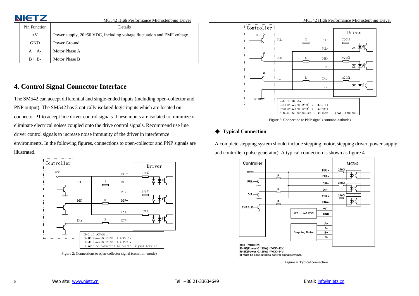| <b>NIETZ</b>        | MC542 High Performance Microstepping Driver                             | MC542 High Performance Microstepping Driver |  |
|---------------------|-------------------------------------------------------------------------|---------------------------------------------|--|
| <b>Pin Function</b> | Details                                                                 | Controller                                  |  |
| $+V$                | Power supply, 20~50 VDC, Including voltage fluctuation and EMF voltage. | Driver<br>vcc                               |  |
| <b>GND</b>          | Power Ground.                                                           | 270Ω<br><b>TEL</b><br>$PUL-$                |  |
| $A+$ , $A-$         | Motor Phase A                                                           | $PCL-$                                      |  |
| $B+$ , $B-$         | Motor Phase B                                                           | $270\Omega$<br>$:$ DIR<br>DIR-              |  |

# <span id="page-3-0"></span>**4. Control Signal Connector Interface**

The SM542 can accept differential and single-ended inputs (including open-collector and PNP output). The SM542 has 3 optically isolated logic inputs which are located on connector P1 to accept line driver control signals. These inputs are isolated to minimize or eliminate electrical noises coupled onto the drive control signals. Recommend use line driver control signals to increase noise immunity of the driver in interference environments. In the following figures, connections to open-collector and PNP signals are illustrated.



Figure 2: Connectionsto open-collector signal (common-anode)



Figure 3: Connection to PNP signal (common-cathode)

# <span id="page-3-1"></span>◆ **Typical Connection**

A complete stepping system should include stepping motor, stepping driver, power supply and controller (pulse generator). A typical connection is shown as figure 4.



Figure 4: Typical connection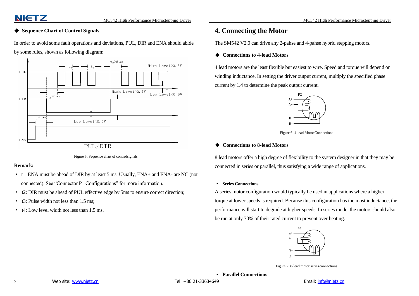# <span id="page-4-0"></span>◆ **Sequence Chart of Control Signals**

In order to avoid some fault operations and deviations, PUL, DIR and ENA should abide by some rules, shown as following diagram:



Figure 5: Sequence chart of controlsignals

#### **Remark:**

- · t1: ENA must be ahead of DIR by at least 5 ms. Usually, ENA+ and ENA- are NC (not connected). See "Connector P1 Configurations" for more information.
- · t2: DIR must be ahead of PUL effective edge by 5ms to ensure correct direction;
- · t3: Pulse width not less than 1.5 ms;
- · t4: Low level width not less than 1.5 ms.

# <span id="page-4-1"></span>**4. Connecting the Motor**

The SM542 V2.0 can drive any 2-pahse and 4-pahse hybrid stepping motors.

## <span id="page-4-2"></span>◆ **Connections to 4-lead Motors**

4 lead motors are the least flexible but easiest to wire. Speed and torque will depend on winding inductance. In setting the driver output current, multiply the specified phase current by 1.4 to determine the peak output current.



Figure 6: 4-lead MotorConnections

#### <span id="page-4-3"></span>◆ **Connections to 8-lead Motors**

8 lead motors offer a high degree of flexibility to the system designer in that they may be connected in series or parallel, thus satisfying a wide range of applications.

#### · **Series Connections**

A series motor configuration would typically be used in applications where a higher torque at lower speeds is required. Because this configuration has the most inductance, the performance will start to degrade at higher speeds. In series mode, the motors should also be run at only 70% of their rated current to prevent over heating.



Figure 7: 8-lead motor series connections

· **Parallel Connections**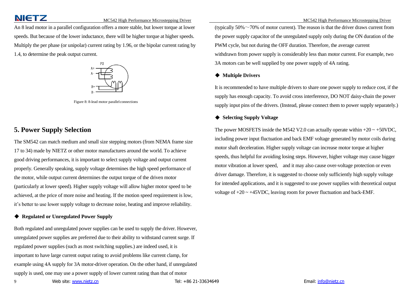# MC542 High Performance Microstepping Driver MC542 High Performance Microstepping Driver MC542 High Performance Microstepping Driver

An 8 lead motor in a parallel configuration offers a more stable, but lower torque at lower speeds. But because of the lower inductance, there will be higher torque at higher speeds. Multiply the per phase (or unipolar) current rating by 1.96, or the bipolar current rating by 1.4, to determine the peak output current.



Figure 8: 8-lead motor parallelconnections

# <span id="page-5-0"></span>**5. Power Supply Selection**

The SM542 can match medium and small size stepping motors (from NEMA frame size 17 to 34) made by NIETZ or other motor manufactures around the world. To achieve good driving performances, it is important to select supply voltage and output current properly. Generally speaking, supply voltage determines the high speed performance of the motor, while output current determines the output torque of the driven motor (particularly at lower speed). Higher supply voltage will allow higher motor speed to be achieved, at the price of more noise and heating. If the motion speed requirement is low, it's better to use lower supply voltage to decrease noise, heating and improve reliability.

# <span id="page-5-1"></span>◆ **Regulated or Unregulated Power Supply**

Both regulated and unregulated power supplies can be used to supply the driver. However, unregulated power supplies are preferred due to their ability to withstand current surge. If regulated power supplies (such as most switching supplies.) are indeed used, it is important to have large current output rating to avoid problems like current clamp, for example using 4A supply for 3A motor-driver operation. On the other hand, if unregulated supply is used, one may use a power supply of lower current rating than that of motor

(typically  $50\% \sim 70\%$  of motor current). The reason is that the driver draws current from the power supply capacitor of the unregulated supply only during the ON duration of the PWM cycle, but not during the OFF duration. Therefore, the average current withdrawn from power supply is considerably less than motor current. For example, two 3A motors can be well supplied by one power supply of 4A rating.

#### <span id="page-5-2"></span>◆ **Multiple Drivers**

It is recommended to have multiple drivers to share one power supply to reduce cost, if the supply has enough capacity. To avoid cross interference, DO NOT daisy-chain the power supply input pins of the drivers. (Instead, please connect them to power supply separately.)

## <span id="page-5-3"></span>◆ **Selecting Supply Voltage**

The power MOSFETS inside the M542 V2.0 can actually operate within  $+20 \sim +50$ VDC, including power input fluctuation and back EMF voltage generated by motor coils during motor shaft deceleration. Higher supply voltage can increase motor torque at higher speeds, thus helpful for avoiding losing steps. However, higher voltage may cause bigger motor vibration at lower speed, and it may also cause over-voltage protection or even driver damage. Therefore, it is suggested to choose only sufficiently high supply voltage for intended applications, and it is suggested to use power supplies with theoretical output voltage of  $+20 \sim +45$ VDC, leaving room for power fluctuation and back-EMF.